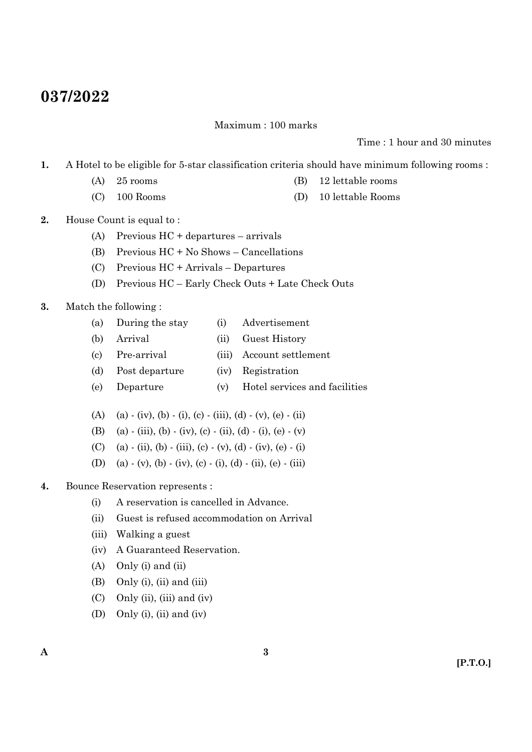# **037/2022**

Maximum : 100 marks

Time : 1 hour and 30 minutes

- **1.** A Hotel to be eligible for 5-star classification criteria should have minimum following rooms :
	- (A) 25 rooms (B) 12 lettable rooms
	- (C) 100 Rooms (D) 10 lettable Rooms
- **2.** House Count is equal to :
	- (A) Previous HC + departures arrivals
	- (B) Previous HC + No Shows Cancellations
	- (C) Previous HC + Arrivals Departures
	- (D) Previous HC Early Check Outs + Late Check Outs
- **3.** Match the following :
	- (a) During the stay (i) Advertisement
	- (b) Arrival (ii) Guest History
	- (c) Pre-arrival (iii) Account settlement
	- (d) Post departure (iv) Registration
	- (e) Departure (v) Hotel services and facilities
	- (A) (a) (iv), (b) (i), (c) (iii), (d) (v), (e) (ii)
	- (B) (a) (iii), (b) (iv), (c) (ii), (d) (i), (e) (v)
	- (C) (a) (ii), (b) (iii), (c) (v), (d) (iv), (e) (i)
	- (D) (a)  $\cdot$  (v), (b)  $\cdot$  (iv), (c)  $\cdot$  (i), (d)  $\cdot$  (ii), (e)  $\cdot$  (iii)
- **4.** Bounce Reservation represents :
	- (i) A reservation is cancelled in Advance.
	- (ii) Guest is refused accommodation on Arrival
	- (iii) Walking a guest
	- (iv) A Guaranteed Reservation.
	- (A) Only (i) and (ii)
	- (B) Only (i), (ii) and (iii)
	- (C) Only (ii), (iii) and (iv)
	- (D) Only (i), (ii) and (iv)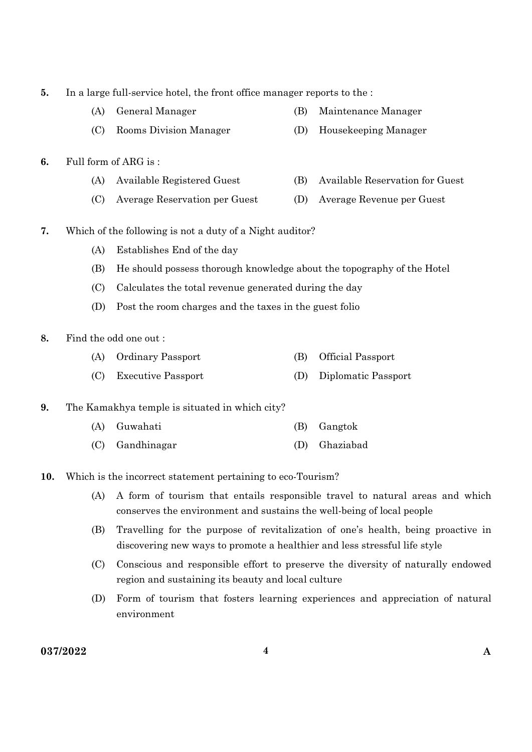- **5.** In a large full-service hotel, the front office manager reports to the : (A) General Manager (B) Maintenance Manager (C) Rooms Division Manager (D) Housekeeping Manager **6.** Full form of ARG is : (A) Available Registered Guest (B) Available Reservation for Guest (C) Average Reservation per Guest (D) Average Revenue per Guest **7.** Which of the following is not a duty of a Night auditor? (A) Establishes End of the day (B) He should possess thorough knowledge about the topography of the Hotel (C) Calculates the total revenue generated during the day (D) Post the room charges and the taxes in the guest folio **8.** Find the odd one out : (A) Ordinary Passport (B) Official Passport (C) Executive Passport (D) Diplomatic Passport **9.** The Kamakhya temple is situated in which city? (A) Guwahati (B) Gangtok (C) Gandhinagar (D) Ghaziabad **10.** Which is the incorrect statement pertaining to eco-Tourism? (A) A form of tourism that entails responsible travel to natural areas and which conserves the environment and sustains the well-being of local people (B) Travelling for the purpose of revitalization of one's health, being proactive in discovering new ways to promote a healthier and less stressful life style (C) Conscious and responsible effort to preserve the diversity of naturally endowed region and sustaining its beauty and local culture
	- (D) Form of tourism that fosters learning experiences and appreciation of natural environment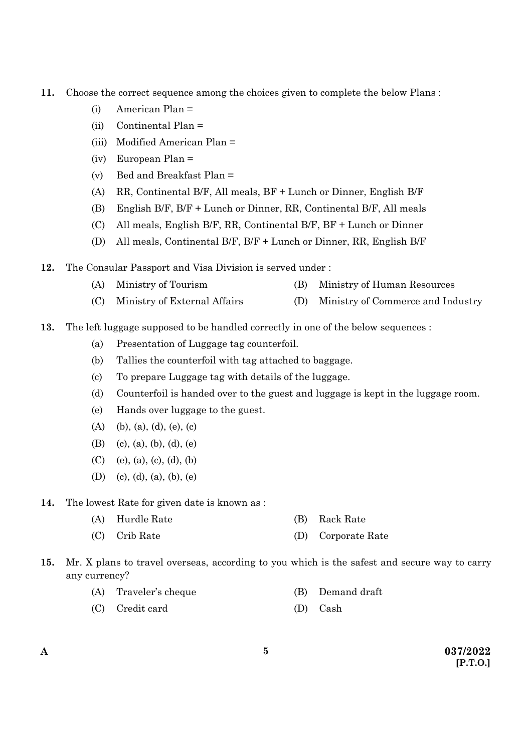- **11.** Choose the correct sequence among the choices given to complete the below Plans :
	- (i) American Plan =
	- (ii) Continental Plan =
	- (iii) Modified American Plan =
	- (iv) European Plan =
	- (v) Bed and Breakfast Plan =
	- (A) RR, Continental B/F, All meals, BF + Lunch or Dinner, English B/F
	- (B) English B/F, B/F + Lunch or Dinner, RR, Continental B/F, All meals
	- (C) All meals, English B/F, RR, Continental B/F, BF + Lunch or Dinner
	- (D) All meals, Continental B/F, B/F + Lunch or Dinner, RR, English B/F
- **12.** The Consular Passport and Visa Division is served under :
	- (A) Ministry of Tourism (B) Ministry of Human Resources
	- (C) Ministry of External Affairs (D) Ministry of Commerce and Industry
- **13.** The left luggage supposed to be handled correctly in one of the below sequences :
	- (a) Presentation of Luggage tag counterfoil.
	- (b) Tallies the counterfoil with tag attached to baggage.
	- (c) To prepare Luggage tag with details of the luggage.
	- (d) Counterfoil is handed over to the guest and luggage is kept in the luggage room.
	- (e) Hands over luggage to the guest.
	- (A) (b), (a), (d), (e), (c)
	- (B) (c), (a), (b), (d), (e)
	- (C) (e), (a), (c), (d), (b)
	- (D) (c), (d), (a), (b), (e)
- **14.** The lowest Rate for given date is known as :
	- (A) Hurdle Rate (B) Rack Rate
	- (C) Crib Rate (D) Corporate Rate
- **15.** Mr. X plans to travel overseas, according to you which is the safest and secure way to carry any currency?
	- (A) Traveler's cheque (B) Demand draft
	- (C) Credit card (D) Cash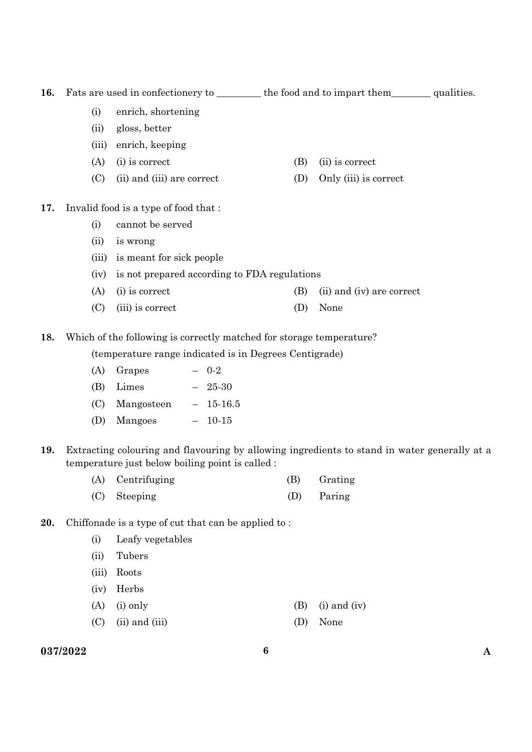16. Fats are used in confectionery to \_\_\_\_\_\_\_\_ the food and to impart them\_\_\_\_\_\_\_ qualities.

- (i) enrich, shortening
- (ii) gloss, better
- (iii) enrich, keeping
- (A) (i) is correct (B) (ii) is correct
- (C) (ii) and (iii) are correct (D) Only (iii) is correct
- **17.** Invalid food is a type of food that :
	- (i) cannot be served
	- (ii) is wrong
	- (iii) is meant for sick people
	- (iv) is not prepared according to FDA regulations
	- (A) (i) is correct (B) (ii) and (iv) are correct
	- (C) (iii) is correct (D) None

**18.** Which of the following is correctly matched for storage temperature?

(temperature range indicated is in Degrees Centigrade)

- $(A)$  Grapes 0-2
- (B) Limes 25-30
- (C) Mangosteen 15-16.5
- (D) Mangoes 10-15
- **19.** Extracting colouring and flavouring by allowing ingredients to stand in water generally at a temperature just below boiling point is called :
	- (A) Centrifuging (B) Grating (C) Steeping (D) Paring
- **20.** Chiffonade is a type of cut that can be applied to :
	- (i) Leafy vegetables
	- (ii) Tubers
	- (iii) Roots
	- (iv) Herbs
	- (A) (i) only (B) (i) and (iv)
	- (C) (ii) and (iii) (D) None
- **037/2022 6 A**
- 
-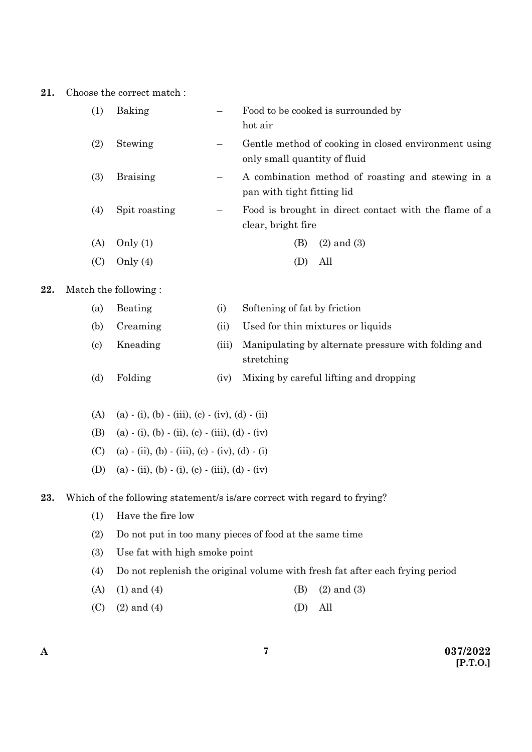#### **21.** Choose the correct match :

| (1) | Baking          | Food to be cooked is surrounded by<br>hot air                                        |
|-----|-----------------|--------------------------------------------------------------------------------------|
| (2) | Stewing         | Gentle method of cooking in closed environment using<br>only small quantity of fluid |
| (3) | <b>Braising</b> | A combination method of roasting and stewing in a<br>pan with tight fitting lid      |
| (4) | Spit roasting   | Food is brought in direct contact with the flame of a<br>clear, bright fire          |
| (A) | Only $(1)$      | $(2)$ and $(3)$<br>(B)                                                               |
|     | Only $(4)$      | All                                                                                  |

### **22.** Match the following :

| (a) | Beating  | $_{(1)}$ | Softening of fat by friction                                      |
|-----|----------|----------|-------------------------------------------------------------------|
| (b) | Creaming | (11)     | Used for thin mixtures or liquids                                 |
| (c) | Kneading | (111)    | Manipulating by alternate pressure with folding and<br>stretching |
| (d) | Folding  | (iv)     | Mixing by careful lifting and dropping                            |

- (A) (a) (i), (b) (iii), (c) (iv), (d) (ii)
- (B) (a)  $\cdot$  (i), (b)  $\cdot$  (ii), (c)  $\cdot$  (iii), (d)  $\cdot$  (iv)
- (C) (a)  $\cdot$  (ii), (b)  $\cdot$  (iii), (c)  $\cdot$  (iv), (d)  $\cdot$  (i)
- (D) (a) (ii), (b) (i), (c) (iii), (d) (iv)

#### **23.** Which of the following statement/s is/are correct with regard to frying?

- (1) Have the fire low
- (2) Do not put in too many pieces of food at the same time
- (3) Use fat with high smoke point
- (4) Do not replenish the original volume with fresh fat after each frying period
- (A) (1) and (4) (B) (2) and (3)
- (C)  $(2)$  and  $(4)$  (D) All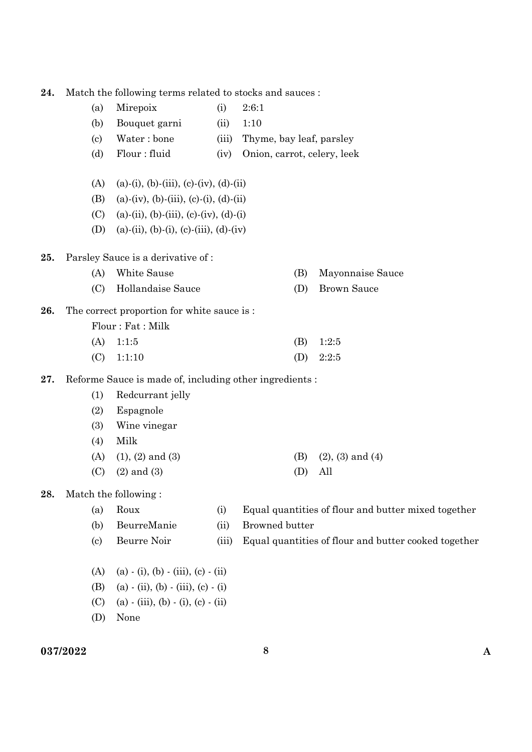| Match the following terms related to stocks and sauces:<br>24. |  |
|----------------------------------------------------------------|--|
|----------------------------------------------------------------|--|

- (a) Mirepoix (i) 2:6:1
- (b) Bouquet garni (ii) 1:10
- (c) Water : bone (iii) Thyme, bay leaf, parsley
- (d) Flour : fluid (iv) Onion, carrot, celery, leek
- (A) (a)-(i), (b)-(iii), (c)-(iv), (d)-(ii)
- (B) (a)-(iv), (b)-(iii), (c)-(i), (d)-(ii)
- (C) (a)-(ii), (b)-(iii), (c)-(iv), (d)-(i)
- (D) (a)-(ii), (b)-(i), (c)-(iii), (d)-(iv)

**25.** Parsley Sauce is a derivative of :

# (A) White Sause (B) Mayonnaise Sauce

- (C) Hollandaise Sauce (D) Brown Sauce
- **26.** The correct proportion for white sauce is :

| Flour: Fat: Milk |             |
|------------------|-------------|
| $(A)$ 1:1:5      | $(B)$ 1:2:5 |
| $(C)$ 1:1:10     | (D) $2:2:5$ |

**27.** Reforme Sauce is made of, including other ingredients :

- (1) Redcurrant jelly
- (2) Espagnole
- (3) Wine vinegar
- (4) Milk
- (A) (1), (2) and (3) (B) (2), (3) and (4)
- (C)  $(2)$  and  $(3)$  (D) All
- **28.** Match the following :

| (a) | Roux            | Equal quantities of flour and butter mixed together        |
|-----|-----------------|------------------------------------------------------------|
|     | (b) BeurreManie | (ii) Browned butter                                        |
| (c) | Beurre Noir     | (iii) Equal quantities of flour and butter cooked together |

- (A) (a) (i), (b) (iii), (c) (ii)
- (B) (a) (ii), (b) (iii), (c) (i)
- (C) (a) (iii), (b) (i), (c) (ii)
- (D) None

#### **037/2022 8 A**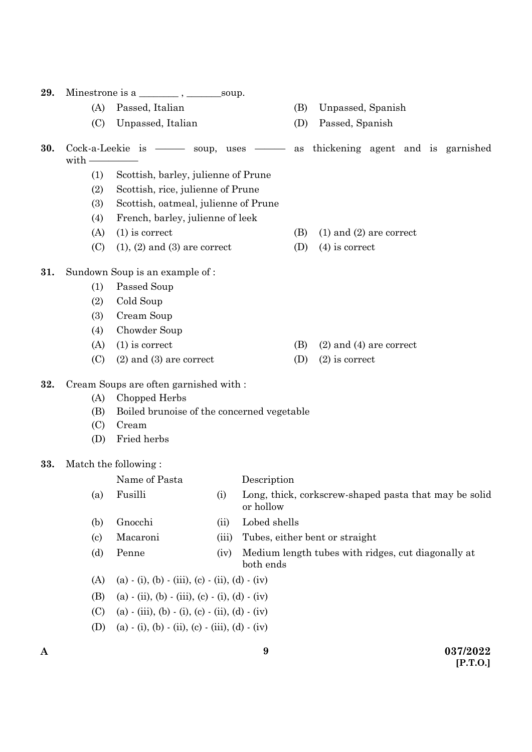| 29. |                          |                                                  |       |                                                                      |
|-----|--------------------------|--------------------------------------------------|-------|----------------------------------------------------------------------|
|     | (A)                      | Passed, Italian                                  |       | Unpassed, Spanish<br>(B)                                             |
|     | (C)                      | Unpassed, Italian                                |       | (D)<br>Passed, Spanish                                               |
| 30. | with -                   |                                                  |       | Cock-a-Leekie is — soup, uses — as thickening agent and is garnished |
|     | (1)                      | Scottish, barley, julienne of Prune              |       |                                                                      |
|     | (2)                      | Scottish, rice, julienne of Prune                |       |                                                                      |
|     | (3)                      | Scottish, oatmeal, julienne of Prune             |       |                                                                      |
|     | (4)                      | French, barley, julienne of leek                 |       |                                                                      |
|     | (A)                      | $(1)$ is correct                                 |       | (B)<br>$(1)$ and $(2)$ are correct                                   |
|     | (C)                      | $(1), (2)$ and $(3)$ are correct                 |       | (D)<br>$(4)$ is correct                                              |
| 31. |                          | Sundown Soup is an example of:                   |       |                                                                      |
|     | (1)                      | Passed Soup                                      |       |                                                                      |
|     | (2)                      | Cold Soup                                        |       |                                                                      |
|     | (3)                      | Cream Soup                                       |       |                                                                      |
|     | (4)                      | Chowder Soup                                     |       |                                                                      |
|     | (A)                      | $(1)$ is correct                                 |       | (B)<br>$(2)$ and $(4)$ are correct                                   |
|     | (C)                      | $(2)$ and $(3)$ are correct                      |       | (D)<br>$(2)$ is correct                                              |
| 32. |                          | Cream Soups are often garnished with :           |       |                                                                      |
|     | (A)                      | Chopped Herbs                                    |       |                                                                      |
|     | (B)                      | Boiled brunoise of the concerned vegetable       |       |                                                                      |
|     | (C)                      | Cream                                            |       |                                                                      |
|     | (D)                      | Fried herbs                                      |       |                                                                      |
| 33. |                          | Match the following:                             |       |                                                                      |
|     |                          | Name of Pasta                                    |       | Description                                                          |
|     | (a)                      | Fusilli                                          | (i)   | Long, thick, corkscrew-shaped pasta that may be solid<br>or hollow   |
|     | (b)                      | Gnocchi                                          | (ii)  | Lobed shells                                                         |
|     | $\left( \text{c}\right)$ | Macaroni                                         | (iii) | Tubes, either bent or straight                                       |
|     | (d)                      | Penne                                            | (iv)  | Medium length tubes with ridges, cut diagonally at<br>both ends      |
|     | (A)                      | $(a) - (i), (b) - (iii), (c) - (ii), (d) - (iv)$ |       |                                                                      |
|     | (B)                      | $(a) - (ii), (b) - (iii), (c) - (i), (d) - (iv)$ |       |                                                                      |
|     | (C)                      | $(a) - (iii), (b) - (i), (c) - (ii), (d) - (iv)$ |       |                                                                      |

(D) (a) - (i), (b) - (ii), (c) - (iii), (d) - (iv)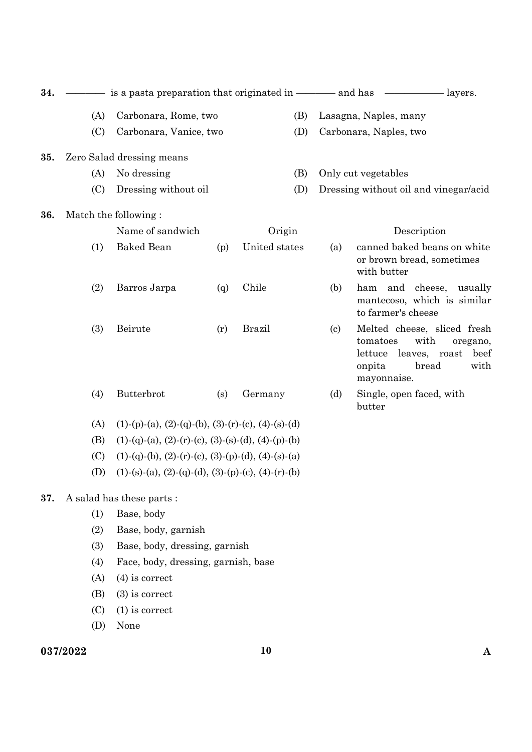| 34. |     |                                                               |     |               |                            | $\frac{\ }{\ }$ layers.                                                                                                   |              |
|-----|-----|---------------------------------------------------------------|-----|---------------|----------------------------|---------------------------------------------------------------------------------------------------------------------------|--------------|
|     | (A) | Carbonara, Rome, two                                          |     | (B)           |                            | Lasagna, Naples, many                                                                                                     |              |
|     | (C) | Carbonara, Vanice, two                                        |     | (D)           |                            | Carbonara, Naples, two                                                                                                    |              |
|     |     |                                                               |     |               |                            |                                                                                                                           |              |
| 35. |     | Zero Salad dressing means                                     |     |               |                            |                                                                                                                           |              |
|     | (A) | No dressing                                                   |     | (B)           |                            | Only cut vegetables                                                                                                       |              |
|     | (C) | Dressing without oil                                          |     | (D)           |                            | Dressing without oil and vinegar/acid                                                                                     |              |
| 36. |     | Match the following:                                          |     |               |                            |                                                                                                                           |              |
|     |     | Name of sandwich                                              |     | Origin        |                            | Description                                                                                                               |              |
|     | (1) | <b>Baked Bean</b>                                             | (p) | United states | (a)                        | canned baked beans on white<br>or brown bread, sometimes<br>with butter                                                   |              |
|     | (2) | Barros Jarpa                                                  | (q) | Chile         | (b)                        | ham and cheese,<br>usually<br>mantecoso, which is similar<br>to farmer's cheese                                           |              |
|     | (3) | Beirute                                                       | (r) | <b>Brazil</b> | $\left( \mathrm{c}\right)$ | Melted cheese, sliced fresh<br>tomatoes<br>with<br>oregano,<br>leaves, roast<br>lettuce<br>onpita<br>bread<br>mayonnaise. | beef<br>with |
|     | (4) | Butterbrot                                                    | (s) | Germany       | (d)                        | Single, open faced, with<br>butter                                                                                        |              |
|     | (A) | $(1)-(p)-(a), (2)-(q)-(b), (3)-(r)-(c), (4)-(s)-(d)$          |     |               |                            |                                                                                                                           |              |
|     | (B) | $(1)-(q)-(a), (2)-(r)-(c), (3)-(s)-(d), (4)-(p)-(b)$          |     |               |                            |                                                                                                                           |              |
|     | (C) | $(1)-(q)-(b), (2)-(r)-(c), (3)-(p)-(d), (4)-(s)-(a)$          |     |               |                            |                                                                                                                           |              |
|     | (D) | $(1)-(s)-(a)$ , $(2)-(q)-(d)$ , $(3)-(p)-(c)$ , $(4)-(r)-(b)$ |     |               |                            |                                                                                                                           |              |
| 37. |     | A salad has these parts:                                      |     |               |                            |                                                                                                                           |              |
|     | (1) | Base, body                                                    |     |               |                            |                                                                                                                           |              |
|     | (2) | Base, body, garnish                                           |     |               |                            |                                                                                                                           |              |
|     | (3) | Base, body, dressing, garnish                                 |     |               |                            |                                                                                                                           |              |
|     | (4) | Face, body, dressing, garnish, base                           |     |               |                            |                                                                                                                           |              |
|     | (A) | $(4)$ is correct                                              |     |               |                            |                                                                                                                           |              |
|     | (B) | $(3)$ is correct                                              |     |               |                            |                                                                                                                           |              |
|     | (C) | $(1)$ is correct                                              |     |               |                            |                                                                                                                           |              |
|     | (D) | None                                                          |     |               |                            |                                                                                                                           |              |

#### **037/2022 10 A**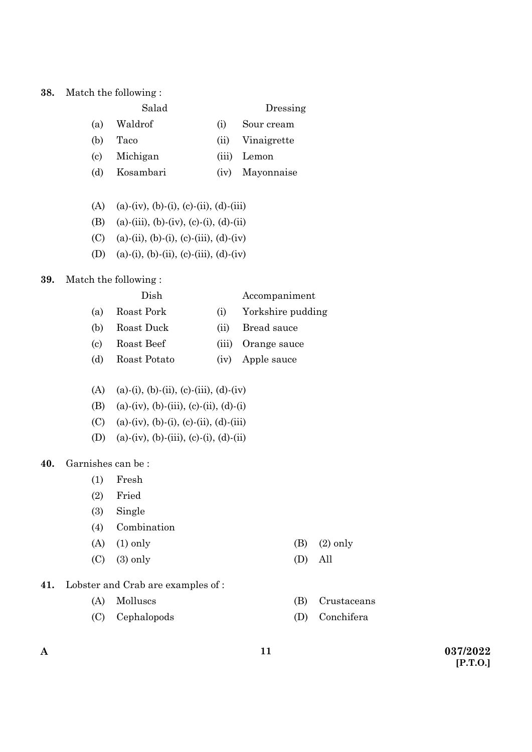### **38.** Match the following :

|     | Salad   | Dressing   |
|-----|---------|------------|
| (a) | Waldrof | Sour cream |

- (b) Taco (ii) Vinaigrette
- (c) Michigan (iii) Lemon
- 
- (d) Kosambari (iv) Mayonnaise
- (A) (a)-(iv), (b)-(i), (c)-(ii), (d)-(iii)
- (B) (a)-(iii), (b)-(iv), (c)-(i), (d)-(ii)
- (C) (a)-(ii), (b)-(i), (c)-(iii), (d)-(iv)
- (D) (a)-(i), (b)-(ii), (c)-(iii), (d)-(iv)

### **39.** Match the following :

|     | Dish         |       | Accompaniment     |
|-----|--------------|-------|-------------------|
| (a) | Roast Pork   | (i)   | Yorkshire pudding |
| (b) | Roast Duck   | (11)  | Bread sauce       |
| (c) | Roast Beef   | (iii) | Orange sauce      |
| (d) | Roast Potato | (iv)  | Apple sauce       |

- (A) (a)-(i), (b)-(ii), (c)-(iii), (d)-(iv)
- (B) (a)-(iv), (b)-(iii), (c)-(ii), (d)-(i)
- (C) (a)-(iv), (b)-(i), (c)-(ii), (d)-(iii)
- (D) (a)-(iv), (b)-(iii), (c)-(i), (d)-(ii)

## **40.** Garnishes can be :

- (1) Fresh
- (2) Fried
- (3) Single
- (4) Combination
- (A) (1) only (B) (2) only
- (C) (3) only (D) All
- 
- 
- **41.** Lobster and Crab are examples of :
	-
	- (C) Cephalopods (D) Conchifera
	- (A) Molluscs (B) Crustaceans
		-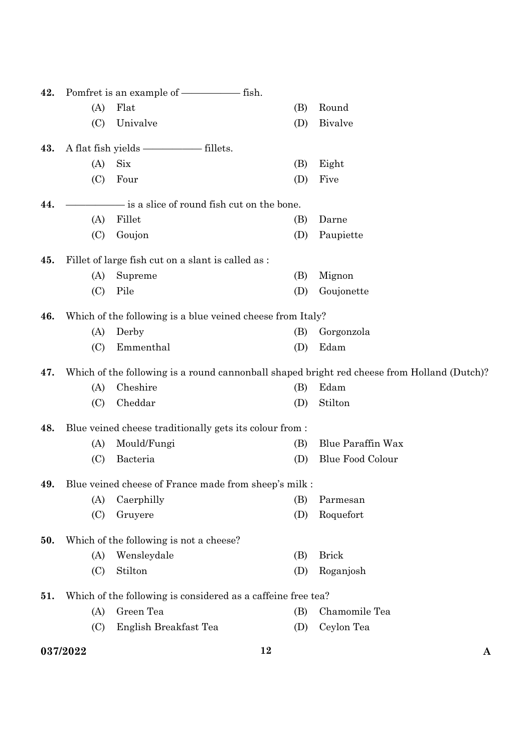| 43.<br>44. | (A)<br>(C)<br>(A)<br>(C) | Flat<br>Univalve<br><b>Six</b>                               | (B)<br>(D) | Round<br><b>Bivalve</b>                                                                     |
|------------|--------------------------|--------------------------------------------------------------|------------|---------------------------------------------------------------------------------------------|
|            |                          |                                                              |            |                                                                                             |
|            |                          |                                                              |            |                                                                                             |
|            |                          |                                                              |            |                                                                                             |
|            |                          |                                                              | (B)        | Eight                                                                                       |
|            |                          | Four                                                         | (D)        | Five                                                                                        |
|            |                          | - is a slice of round fish cut on the bone.                  |            |                                                                                             |
|            | (A)                      | Fillet                                                       | (B)        | Darne                                                                                       |
|            | (C)                      | Goujon                                                       | (D)        | Paupiette                                                                                   |
| 45.        |                          | Fillet of large fish cut on a slant is called as :           |            |                                                                                             |
|            | (A)                      | Supreme                                                      | (B)        | Mignon                                                                                      |
|            | (C)                      | Pile                                                         | (D)        | Goujonette                                                                                  |
| 46.        |                          | Which of the following is a blue veined cheese from Italy?   |            |                                                                                             |
|            | (A)                      | Derby                                                        | (B)        | Gorgonzola                                                                                  |
|            | (C)                      | Emmenthal                                                    | (D)        | Edam                                                                                        |
| 47.        |                          |                                                              |            | Which of the following is a round cannonball shaped bright red cheese from Holland (Dutch)? |
|            | (A)                      | Cheshire                                                     | (B)        | Edam                                                                                        |
|            | (C)                      | Cheddar                                                      | (D)        | Stilton                                                                                     |
| 48.        |                          | Blue veined cheese traditionally gets its colour from :      |            |                                                                                             |
|            | (A)                      | Mould/Fungi                                                  | (B)        | <b>Blue Paraffin Wax</b>                                                                    |
|            |                          |                                                              |            |                                                                                             |
|            | (C)                      | Bacteria                                                     | (D)        | <b>Blue Food Colour</b>                                                                     |
| 49.        |                          | Blue veined cheese of France made from sheep's milk :        |            |                                                                                             |
|            | (A)                      | Caerphilly                                                   | (B)        | Parmesan                                                                                    |
|            | (C)                      | Gruyere                                                      | (D)        | Roquefort                                                                                   |
| 50.        |                          | Which of the following is not a cheese?                      |            |                                                                                             |
|            | (A)                      | Wensleydale                                                  | (B)        | <b>Brick</b>                                                                                |
|            | (C)                      | Stilton                                                      | (D)        | Roganjosh                                                                                   |
| 51.        |                          | Which of the following is considered as a caffeine free tea? |            |                                                                                             |
|            | (A)                      | Green Tea                                                    | (B)        | Chamomile Tea                                                                               |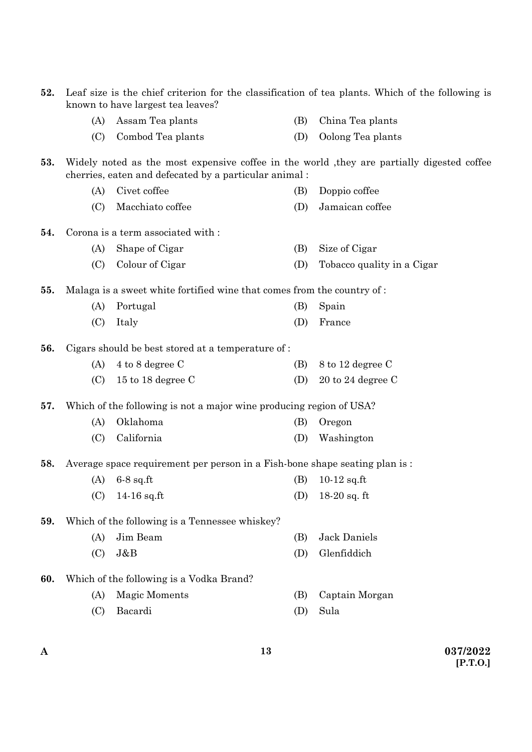| 52. | Leaf size is the chief criterion for the classification of tea plants. Which of the following is<br>known to have largest tea leaves? |                                                                            |     |                                                                                            |  |
|-----|---------------------------------------------------------------------------------------------------------------------------------------|----------------------------------------------------------------------------|-----|--------------------------------------------------------------------------------------------|--|
|     | (A)                                                                                                                                   | Assam Tea plants                                                           | (B) | China Tea plants                                                                           |  |
|     | (C)                                                                                                                                   | Combod Tea plants                                                          | (D) | Oolong Tea plants                                                                          |  |
| 53. |                                                                                                                                       | cherries, eaten and defecated by a particular animal:                      |     | Widely noted as the most expensive coffee in the world, they are partially digested coffee |  |
|     | (A)                                                                                                                                   | Civet coffee                                                               | (B) | Doppio coffee                                                                              |  |
|     | (C)                                                                                                                                   | Macchiato coffee                                                           | (D) | Jamaican coffee                                                                            |  |
| 54. |                                                                                                                                       | Corona is a term associated with:                                          |     |                                                                                            |  |
|     | (A)                                                                                                                                   | Shape of Cigar                                                             | (B) | Size of Cigar                                                                              |  |
|     | (C)                                                                                                                                   | Colour of Cigar                                                            | (D) | Tobacco quality in a Cigar                                                                 |  |
| 55. |                                                                                                                                       | Malaga is a sweet white fortified wine that comes from the country of :    |     |                                                                                            |  |
|     | (A)                                                                                                                                   | Portugal                                                                   | (B) | Spain                                                                                      |  |
|     | (C)                                                                                                                                   | Italy                                                                      | (D) | France                                                                                     |  |
| 56. |                                                                                                                                       | Cigars should be best stored at a temperature of:                          |     |                                                                                            |  |
|     | (A)                                                                                                                                   | 4 to 8 degree C                                                            | (B) | 8 to 12 degree C                                                                           |  |
|     | (C)                                                                                                                                   | 15 to 18 degree $C$                                                        | (D) | $20$ to $24$ degree C                                                                      |  |
| 57. |                                                                                                                                       | Which of the following is not a major wine producing region of USA?        |     |                                                                                            |  |
|     | (A)                                                                                                                                   | Oklahoma                                                                   | (B) | Oregon                                                                                     |  |
|     | (C)                                                                                                                                   | California                                                                 | (D) | Washington                                                                                 |  |
| 58. |                                                                                                                                       | Average space requirement per person in a Fish-bone shape seating plan is: |     |                                                                                            |  |
|     | (A)                                                                                                                                   | $6-8$ sq.ft                                                                | (B) | $10-12$ sq.ft                                                                              |  |
|     | (C)                                                                                                                                   | 14-16 sq.ft                                                                | (D) | $18-20$ sq. ft                                                                             |  |
| 59. |                                                                                                                                       | Which of the following is a Tennessee whiskey?                             |     |                                                                                            |  |
|     | (A)                                                                                                                                   | Jim Beam                                                                   | (B) | <b>Jack Daniels</b>                                                                        |  |
|     | (C)                                                                                                                                   | J&B                                                                        | (D) | Glenfiddich                                                                                |  |
| 60. |                                                                                                                                       | Which of the following is a Vodka Brand?                                   |     |                                                                                            |  |
|     | (A)                                                                                                                                   | <b>Magic Moments</b>                                                       | (B) | Captain Morgan                                                                             |  |
|     | (C)                                                                                                                                   | Bacardi                                                                    | (D) | Sula                                                                                       |  |
|     |                                                                                                                                       |                                                                            |     |                                                                                            |  |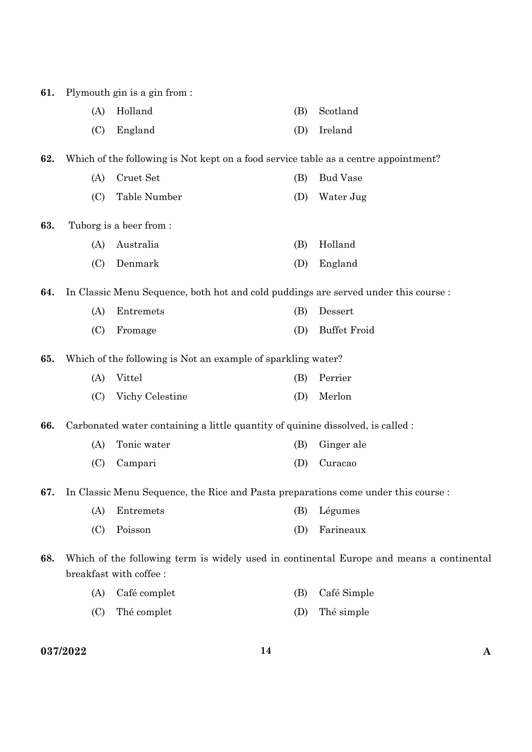| 61. |     | Plymouth gin is a gin from :                                                        |     |                                                                                          |
|-----|-----|-------------------------------------------------------------------------------------|-----|------------------------------------------------------------------------------------------|
|     | (A) | Holland                                                                             | (B) | Scotland                                                                                 |
|     | (C) | England                                                                             | (D) | Ireland                                                                                  |
| 62. |     | Which of the following is Not kept on a food service table as a centre appointment? |     |                                                                                          |
|     | (A) | Cruet Set                                                                           | (B) | <b>Bud Vase</b>                                                                          |
|     | (C) | Table Number                                                                        | (D) | Water Jug                                                                                |
| 63. |     | Tuborg is a beer from:                                                              |     |                                                                                          |
|     | (A) | Australia                                                                           | (B) | Holland                                                                                  |
|     | (C) | Denmark                                                                             | (D) | England                                                                                  |
| 64. |     | In Classic Menu Sequence, both hot and cold puddings are served under this course : |     |                                                                                          |
|     | (A) | Entremets                                                                           | (B) | Dessert                                                                                  |
|     | (C) | Fromage                                                                             | (D) | <b>Buffet Froid</b>                                                                      |
| 65. |     | Which of the following is Not an example of sparkling water?                        |     |                                                                                          |
|     | (A) | Vittel                                                                              | (B) | Perrier                                                                                  |
|     | (C) | Vichy Celestine                                                                     | (D) | Merlon                                                                                   |
| 66. |     | Carbonated water containing a little quantity of quinine dissolved, is called :     |     |                                                                                          |
|     | (A) | Tonic water                                                                         | (B) | Ginger ale                                                                               |
|     | (C) | Campari                                                                             | (D) | Curacao                                                                                  |
| 67. |     | In Classic Menu Sequence, the Rice and Pasta preparations come under this course :  |     |                                                                                          |
|     | (A) | Entremets                                                                           | (B) | Légumes                                                                                  |
|     | (C) | Poisson                                                                             | (D) | Farineaux                                                                                |
| 68. |     | breakfast with coffee:                                                              |     | Which of the following term is widely used in continental Europe and means a continental |
|     | (A) | Café complet                                                                        | (B) | Café Simple                                                                              |
|     | (C) | Thé complet                                                                         | (D) | Thé simple                                                                               |

**037/2022 14 A**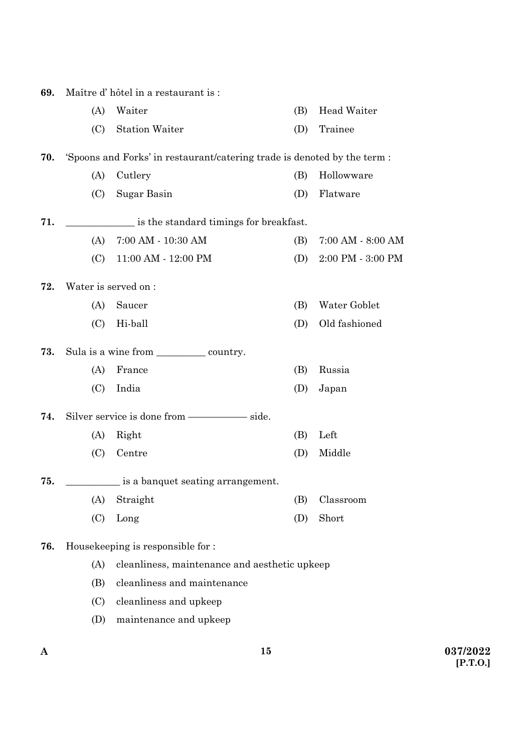| 69. | Maître d'hôtel in a restaurant is :                  |                                                                          |     |                   |  |  |
|-----|------------------------------------------------------|--------------------------------------------------------------------------|-----|-------------------|--|--|
|     | (A)                                                  | Waiter                                                                   | (B) | Head Waiter       |  |  |
|     | (C)                                                  | <b>Station Waiter</b>                                                    | (D) | Trainee           |  |  |
| 70. |                                                      | 'Spoons and Forks' in restaurant/catering trade is denoted by the term : |     |                   |  |  |
|     | (A)                                                  | Cutlery                                                                  | (B) | Hollowware        |  |  |
|     | (C)                                                  | Sugar Basin                                                              | (D) | Flatware          |  |  |
| 71. |                                                      | is the standard timings for breakfast.                                   |     |                   |  |  |
|     | (A)                                                  | 7:00 AM - 10:30 AM                                                       | (B) | 7:00 AM - 8:00 AM |  |  |
|     | (C)                                                  | 11:00 AM - 12:00 PM                                                      | (D) | 2:00 PM - 3:00 PM |  |  |
| 72. | Water is served on :                                 |                                                                          |     |                   |  |  |
|     | (A)                                                  | Saucer                                                                   | (B) | Water Goblet      |  |  |
|     | (C)                                                  | Hi-ball                                                                  | (D) | Old fashioned     |  |  |
| 73. |                                                      | Sula is a wine from _____________ country.                               |     |                   |  |  |
|     | (A)                                                  | France                                                                   | (B) | Russia            |  |  |
|     | (C)                                                  | India                                                                    | (D) | Japan             |  |  |
| 74. |                                                      |                                                                          |     |                   |  |  |
|     | (A)                                                  | Right                                                                    | (B) | Left              |  |  |
|     | (C)                                                  | Centre                                                                   | (D) | Middle            |  |  |
| 75. |                                                      | is a banquet seating arrangement.                                        |     |                   |  |  |
|     | (A)                                                  | Straight                                                                 | (B) | Classroom         |  |  |
|     | (C)                                                  | Long                                                                     | (D) | Short             |  |  |
| 76. |                                                      | Housekeeping is responsible for :                                        |     |                   |  |  |
|     | (A)<br>cleanliness, maintenance and aesthetic upkeep |                                                                          |     |                   |  |  |
|     | (B)                                                  | cleanliness and maintenance                                              |     |                   |  |  |
|     | (C)                                                  | cleanliness and upkeep                                                   |     |                   |  |  |
|     | (D)                                                  | maintenance and upkeep                                                   |     |                   |  |  |

**15**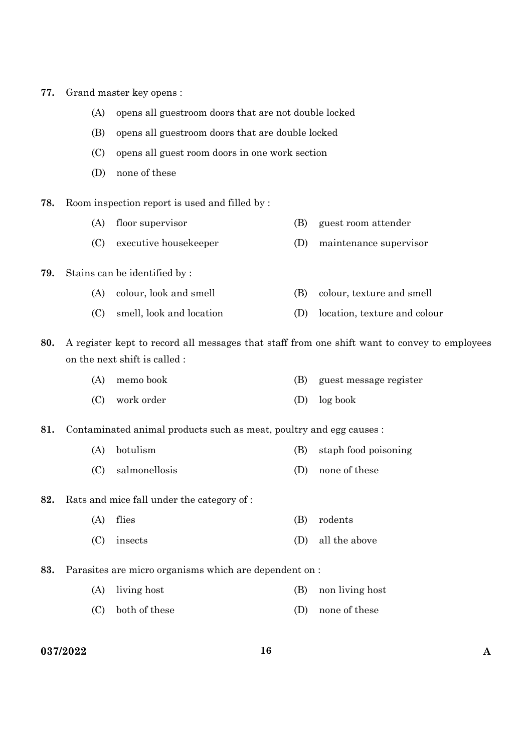| 77. |  | Grand master key opens : |  |  |  |
|-----|--|--------------------------|--|--|--|
|-----|--|--------------------------|--|--|--|

- (A) opens all guestroom doors that are not double locked
- (B) opens all guestroom doors that are double locked
- (C) opens all guest room doors in one work section
- (D) none of these
- **78.** Room inspection report is used and filled by :
	- (A) floor supervisor (B) guest room attender
	- (C) executive housekeeper (D) maintenance supervisor
- **79.** Stains can be identified by :
	- (A) colour, look and smell (B) colour, texture and smell
	- (C) smell, look and location (D) location, texture and colour

**80.** A register kept to record all messages that staff from one shift want to convey to employees on the next shift is called :

- (A) memo book (B) guest message register
- (C) work order (D) log book

**81.** Contaminated animal products such as meat, poultry and egg causes :

- (A) botulism (B) staph food poisoning
- (C) salmonellosis (D) none of these
- **82.** Rats and mice fall under the category of :
	- (A) flies (B) rodents
	- (C) insects (D) all the above
- **83.** Parasites are micro organisms which are dependent on :
	- (A) living host (B) non living host
	- (C) both of these (D) none of these

**037/2022 16 A**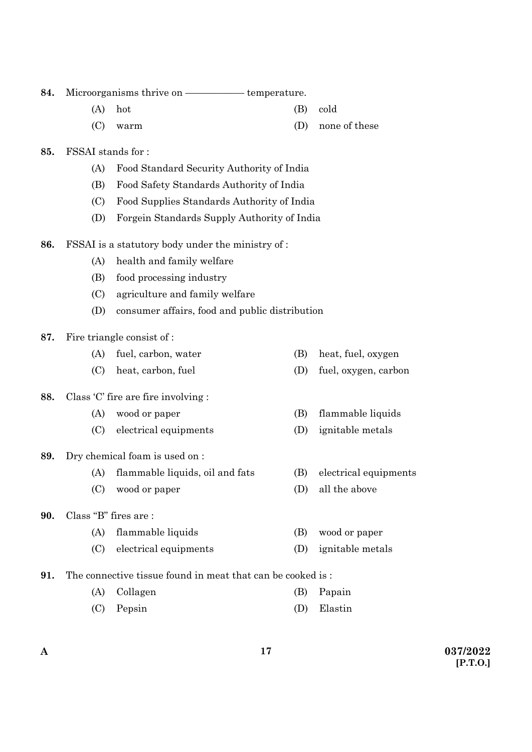| 84.                                                      |                          |                                                            |     |                       |
|----------------------------------------------------------|--------------------------|------------------------------------------------------------|-----|-----------------------|
|                                                          | (A)                      | hot                                                        | (B) | cold                  |
|                                                          | (C)                      | warm                                                       | (D) | none of these         |
| 85.                                                      | <b>FSSAI</b> stands for: |                                                            |     |                       |
|                                                          | (A)                      | Food Standard Security Authority of India                  |     |                       |
|                                                          | (B)                      | Food Safety Standards Authority of India                   |     |                       |
|                                                          | (C)                      | Food Supplies Standards Authority of India                 |     |                       |
|                                                          | (D)                      | Forgein Standards Supply Authority of India                |     |                       |
| 86.<br>FSSAI is a statutory body under the ministry of : |                          |                                                            |     |                       |
|                                                          | (A)                      | health and family welfare                                  |     |                       |
|                                                          | (B)                      | food processing industry                                   |     |                       |
|                                                          | (C)                      | agriculture and family welfare                             |     |                       |
|                                                          | (D)                      | consumer affairs, food and public distribution             |     |                       |
| 87.                                                      |                          | Fire triangle consist of :                                 |     |                       |
|                                                          | (A)                      | fuel, carbon, water                                        | (B) | heat, fuel, oxygen    |
|                                                          | (C)                      | heat, carbon, fuel                                         | (D) | fuel, oxygen, carbon  |
| 88.                                                      |                          | Class $C$ fire are fire involving :                        |     |                       |
|                                                          | (A)                      | wood or paper                                              | (B) | flammable liquids     |
|                                                          | (C)                      | electrical equipments                                      | (D) | ignitable metals      |
| 89.                                                      |                          | Dry chemical foam is used on :                             |     |                       |
|                                                          | (A)                      | flammable liquids, oil and fats                            | (B) | electrical equipments |
|                                                          | (C)                      | wood or paper                                              | (D) | all the above         |
| 90.                                                      | Class "B" fires are:     |                                                            |     |                       |
|                                                          | (A)                      | flammable liquids                                          | (B) | wood or paper         |
|                                                          | (C)                      | electrical equipments                                      | (D) | ignitable metals      |
| 91.                                                      |                          | The connective tissue found in meat that can be cooked is: |     |                       |
|                                                          | (A)                      | Collagen                                                   | (B) | Papain                |
|                                                          | (C)                      | Pepsin                                                     | (D) | Elastin               |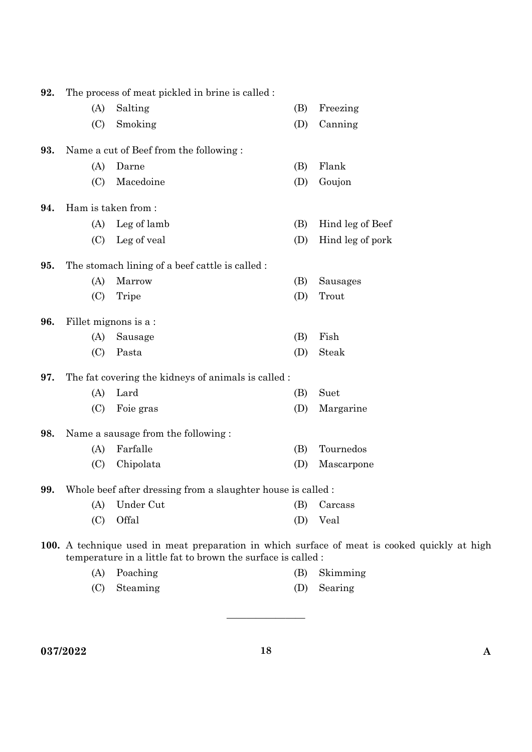| 92. | The process of meat pickled in brine is called :                                                                                                             |                                                    |     |                  |  |
|-----|--------------------------------------------------------------------------------------------------------------------------------------------------------------|----------------------------------------------------|-----|------------------|--|
|     | (A)                                                                                                                                                          | Salting                                            | (B) | Freezing         |  |
|     | (C)                                                                                                                                                          | Smoking                                            | (D) | Canning          |  |
| 93. | Name a cut of Beef from the following:                                                                                                                       |                                                    |     |                  |  |
|     | (A)                                                                                                                                                          | Darne                                              | (B) | Flank            |  |
|     | (C)                                                                                                                                                          | Macedoine                                          | (D) | Goujon           |  |
| 94. | Ham is taken from:                                                                                                                                           |                                                    |     |                  |  |
|     | (A)                                                                                                                                                          | Leg of lamb                                        | (B) | Hind leg of Beef |  |
|     | (C)                                                                                                                                                          | Leg of veal                                        | (D) | Hind leg of pork |  |
| 95. | The stomach lining of a beef cattle is called :                                                                                                              |                                                    |     |                  |  |
|     | (A)                                                                                                                                                          | Marrow                                             | (B) | Sausages         |  |
|     | (C)                                                                                                                                                          | Tripe                                              | (D) | Trout            |  |
| 96. |                                                                                                                                                              | Fillet mignons is a:                               |     |                  |  |
|     | (A)                                                                                                                                                          | Sausage                                            | (B) | Fish             |  |
|     | (C)                                                                                                                                                          | Pasta                                              | (D) | Steak            |  |
| 97. |                                                                                                                                                              | The fat covering the kidneys of animals is called: |     |                  |  |
|     | (A)                                                                                                                                                          | Lard                                               | (B) | Suet             |  |
|     | (C)                                                                                                                                                          | Foie gras                                          | (D) | Margarine        |  |
| 98. |                                                                                                                                                              | Name a sausage from the following:                 |     |                  |  |
|     | (A)                                                                                                                                                          | Farfalle                                           | (B) | Tournedos        |  |
|     | (C)                                                                                                                                                          | Chipolata                                          | (D) | Mascarpone       |  |
| 99. | Whole beef after dressing from a slaughter house is called:                                                                                                  |                                                    |     |                  |  |
|     | (A)                                                                                                                                                          | Under Cut                                          | (B) | Carcass          |  |
|     | (C)                                                                                                                                                          | Offal                                              | (D) | Veal             |  |
|     | 100. A technique used in meat preparation in which surface of meat is cooked quickly at high<br>temperature in a little fat to brown the surface is called : |                                                    |     |                  |  |

- (A) Poaching (B) Skimming
- (C) Steaming (D) Searing

**037/2022 18 A** 

————————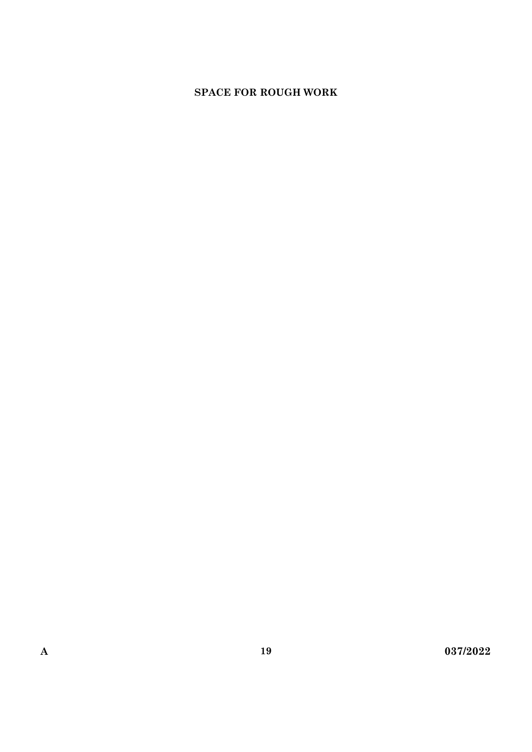# **SPACE FOR ROUGH WORK**